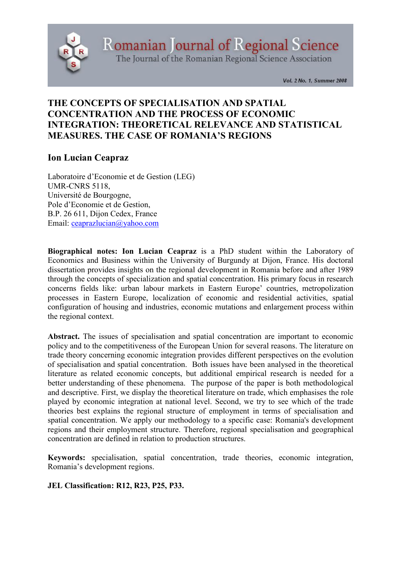

Romanian Journal of Regional Science

The Journal of the Romanian Regional Science Association

Vol. 2 No. 1, Summer 2008

# THE CONCEPTS OF SPECIALISATION AND SPATIAL CONCENTRATION AND THE PROCESS OF ECONOMIC INTEGRATION: THEORETICAL RELEVANCE AND STATISTICAL MEASURES. THE CASE OF ROMANIA'S REGIONS

# Ion Lucian Ceapraz

Laboratoire d'Economie et de Gestion (LEG) UMR-CNRS 5118, Université de Bourgogne, Pole d'Economie et de Gestion, B.P. 26 611, Dijon Cedex, France Email: ceaprazlucian@yahoo.com

Biographical notes: Ion Lucian Ceapraz is a PhD student within the Laboratory of Economics and Business within the University of Burgundy at Dijon, France. His doctoral dissertation provides insights on the regional development in Romania before and after 1989 through the concepts of specialization and spatial concentration. His primary focus in research concerns fields like: urban labour markets in Eastern Europe' countries, metropolization processes in Eastern Europe, localization of economic and residential activities, spatial configuration of housing and industries, economic mutations and enlargement process within the regional context.

Abstract. The issues of specialisation and spatial concentration are important to economic policy and to the competitiveness of the European Union for several reasons. The literature on trade theory concerning economic integration provides different perspectives on the evolution of specialisation and spatial concentration. Both issues have been analysed in the theoretical literature as related economic concepts, but additional empirical research is needed for a better understanding of these phenomena. The purpose of the paper is both methodological and descriptive. First, we display the theoretical literature on trade, which emphasises the role played by economic integration at national level. Second, we try to see which of the trade theories best explains the regional structure of employment in terms of specialisation and spatial concentration. We apply our methodology to a specific case: Romania's development regions and their employment structure. Therefore, regional specialisation and geographical concentration are defined in relation to production structures.

Keywords: specialisation, spatial concentration, trade theories, economic integration, Romania's development regions.

# JEL Classification: R12, R23, P25, P33.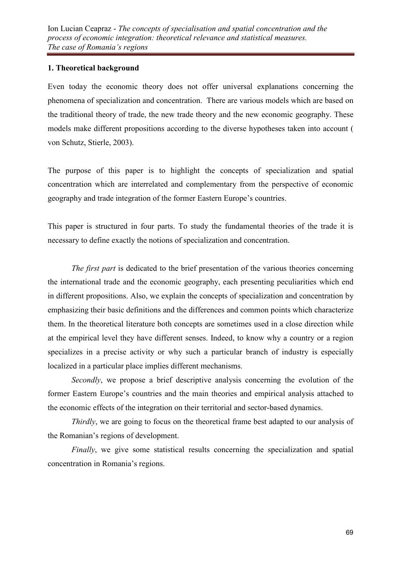# 1. Theoretical background

Even today the economic theory does not offer universal explanations concerning the phenomena of specialization and concentration. There are various models which are based on the traditional theory of trade, the new trade theory and the new economic geography. These models make different propositions according to the diverse hypotheses taken into account ( von Schutz, Stierle, 2003).

The purpose of this paper is to highlight the concepts of specialization and spatial concentration which are interrelated and complementary from the perspective of economic geography and trade integration of the former Eastern Europe's countries.

This paper is structured in four parts. To study the fundamental theories of the trade it is necessary to define exactly the notions of specialization and concentration.

*The first part* is dedicated to the brief presentation of the various theories concerning the international trade and the economic geography, each presenting peculiarities which end in different propositions. Also, we explain the concepts of specialization and concentration by emphasizing their basic definitions and the differences and common points which characterize them. In the theoretical literature both concepts are sometimes used in a close direction while at the empirical level they have different senses. Indeed, to know why a country or a region specializes in a precise activity or why such a particular branch of industry is especially localized in a particular place implies different mechanisms.

*Secondly*, we propose a brief descriptive analysis concerning the evolution of the former Eastern Europe's countries and the main theories and empirical analysis attached to the economic effects of the integration on their territorial and sector-based dynamics.

*Thirdly*, we are going to focus on the theoretical frame best adapted to our analysis of the Romanian's regions of development.

*Finally*, we give some statistical results concerning the specialization and spatial concentration in Romania's regions.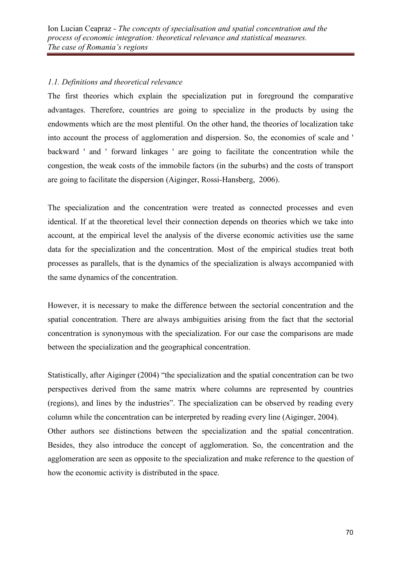# *1.1. Definitions and theoretical relevance*

The first theories which explain the specialization put in foreground the comparative advantages. Therefore, countries are going to specialize in the products by using the endowments which are the most plentiful. On the other hand, the theories of localization take into account the process of agglomeration and dispersion. So, the economies of scale and ' backward ' and ' forward linkages ' are going to facilitate the concentration while the congestion, the weak costs of the immobile factors (in the suburbs) and the costs of transport are going to facilitate the dispersion (Aiginger, Rossi-Hansberg, 2006).

The specialization and the concentration were treated as connected processes and even identical. If at the theoretical level their connection depends on theories which we take into account, at the empirical level the analysis of the diverse economic activities use the same data for the specialization and the concentration. Most of the empirical studies treat both processes as parallels, that is the dynamics of the specialization is always accompanied with the same dynamics of the concentration.

However, it is necessary to make the difference between the sectorial concentration and the spatial concentration. There are always ambiguities arising from the fact that the sectorial concentration is synonymous with the specialization. For our case the comparisons are made between the specialization and the geographical concentration.

Statistically, after Aiginger (2004) "the specialization and the spatial concentration can be two perspectives derived from the same matrix where columns are represented by countries (regions), and lines by the industries". The specialization can be observed by reading every column while the concentration can be interpreted by reading every line (Aiginger, 2004). Other authors see distinctions between the specialization and the spatial concentration. Besides, they also introduce the concept of agglomeration. So, the concentration and the agglomeration are seen as opposite to the specialization and make reference to the question of how the economic activity is distributed in the space.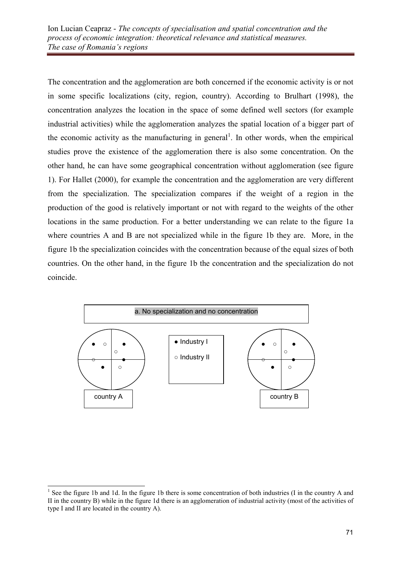The concentration and the agglomeration are both concerned if the economic activity is or not in some specific localizations (city, region, country). According to Brulhart (1998), the concentration analyzes the location in the space of some defined well sectors (for example industrial activities) while the agglomeration analyzes the spatial location of a bigger part of the economic activity as the manufacturing in general<sup>1</sup>. In other words, when the empirical studies prove the existence of the agglomeration there is also some concentration. On the other hand, he can have some geographical concentration without agglomeration (see figure 1). For Hallet (2000), for example the concentration and the agglomeration are very different from the specialization. The specialization compares if the weight of a region in the production of the good is relatively important or not with regard to the weights of the other locations in the same production. For a better understanding we can relate to the figure 1a where countries A and B are not specialized while in the figure 1b they are. More, in the figure 1b the specialization coincides with the concentration because of the equal sizes of both countries. On the other hand, in the figure 1b the concentration and the specialization do not coincide.



 $\overline{a}$ <sup>1</sup> See the figure 1b and 1d. In the figure 1b there is some concentration of both industries (I in the country A and II in the country B) while in the figure 1d there is an agglomeration of industrial activity (most of the activities of type I and II are located in the country A).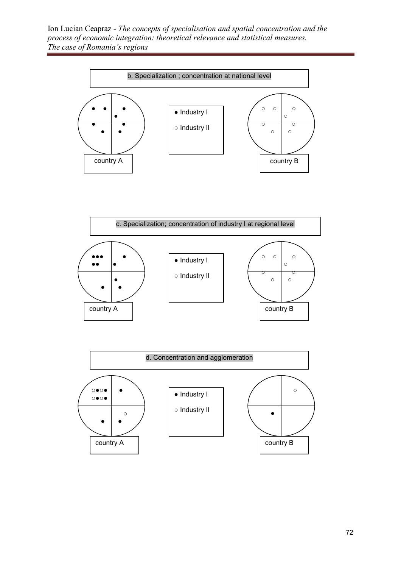Ion Lucian Ceapraz - *The concepts of specialisation and spatial concentration and the process of economic integration: theoretical relevance and statistical measures. The case of Romania's regions*







72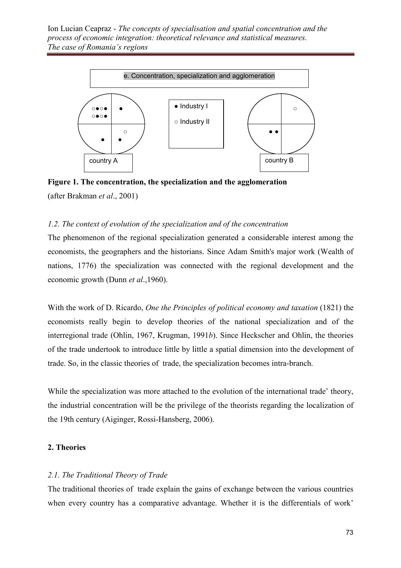Ion Lucian Ceapraz - *The concepts of specialisation and spatial concentration and the process of economic integration: theoretical relevance and statistical measures. The case of Romania's regions*



Figure 1. The concentration, the specialization and the agglomeration (after Brakman *et al*., 2001)

#### *1.2. The context of evolution of the specialization and of the concentration*

The phenomenon of the regional specialization generated a considerable interest among the economists, the geographers and the historians. Since Adam Smith's major work (Wealth of nations, 1776) the specialization was connected with the regional development and the economic growth (Dunn *et al*.,1960).

With the work of D. Ricardo, *One the Principles of political economy and taxation* (1821) the economists really begin to develop theories of the national specialization and of the interregional trade (Ohlin, 1967, Krugman, 1991*b*). Since Heckscher and Ohlin, the theories of the trade undertook to introduce little by little a spatial dimension into the development of trade. So, in the classic theories of trade, the specialization becomes intra-branch.

While the specialization was more attached to the evolution of the international trade' theory, the industrial concentration will be the privilege of the theorists regarding the localization of the 19th century (Aiginger, Rossi-Hansberg, 2006).

### 2. Theories

# *2.1. The Traditional Theory of Trade*

The traditional theories of trade explain the gains of exchange between the various countries when every country has a comparative advantage. Whether it is the differentials of work'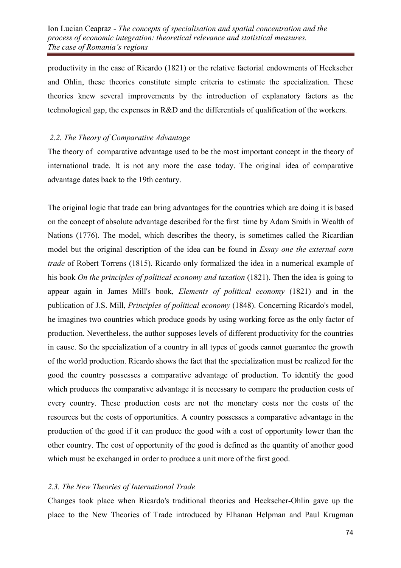productivity in the case of Ricardo (1821) or the relative factorial endowments of Heckscher and Ohlin, these theories constitute simple criteria to estimate the specialization. These theories knew several improvements by the introduction of explanatory factors as the technological gap, the expenses in R&D and the differentials of qualification of the workers.

### *2.2. The Theory of Comparative Advantage*

The theory of comparative advantage used to be the most important concept in the theory of international trade. It is not any more the case today. The original idea of comparative advantage dates back to the 19th century.

The original logic that trade can bring advantages for the countries which are doing it is based on the concept of absolute advantage described for the first time by Adam Smith in Wealth of Nations (1776). The model, which describes the theory, is sometimes called the Ricardian model but the original description of the idea can be found in *Essay one the external corn trade* of Robert Torrens (1815). Ricardo only formalized the idea in a numerical example of his book *On the principles of political economy and taxation* (1821). Then the idea is going to appear again in James Mill's book, *Elements of political economy* (1821) and in the publication of J.S. Mill, *Principles of political economy* (1848). Concerning Ricardo's model, he imagines two countries which produce goods by using working force as the only factor of production. Nevertheless, the author supposes levels of different productivity for the countries in cause. So the specialization of a country in all types of goods cannot guarantee the growth of the world production. Ricardo shows the fact that the specialization must be realized for the good the country possesses a comparative advantage of production. To identify the good which produces the comparative advantage it is necessary to compare the production costs of every country. These production costs are not the monetary costs nor the costs of the resources but the costs of opportunities. A country possesses a comparative advantage in the production of the good if it can produce the good with a cost of opportunity lower than the other country. The cost of opportunity of the good is defined as the quantity of another good which must be exchanged in order to produce a unit more of the first good.

# *2.3. The New Theories of International Trade*

Changes took place when Ricardo's traditional theories and Heckscher-Ohlin gave up the place to the New Theories of Trade introduced by Elhanan Helpman and Paul Krugman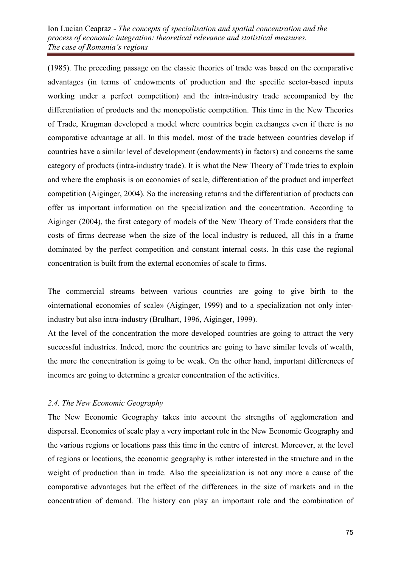(1985). The preceding passage on the classic theories of trade was based on the comparative advantages (in terms of endowments of production and the specific sector-based inputs working under a perfect competition) and the intra-industry trade accompanied by the differentiation of products and the monopolistic competition. This time in the New Theories of Trade, Krugman developed a model where countries begin exchanges even if there is no comparative advantage at all. In this model, most of the trade between countries develop if countries have a similar level of development (endowments) in factors) and concerns the same category of products (intra-industry trade). It is what the New Theory of Trade tries to explain and where the emphasis is on economies of scale, differentiation of the product and imperfect competition (Aiginger, 2004). So the increasing returns and the differentiation of products can offer us important information on the specialization and the concentration. According to Aiginger (2004), the first category of models of the New Theory of Trade considers that the costs of firms decrease when the size of the local industry is reduced, all this in a frame dominated by the perfect competition and constant internal costs. In this case the regional concentration is built from the external economies of scale to firms.

The commercial streams between various countries are going to give birth to the «international economies of scale» (Aiginger, 1999) and to a specialization not only interindustry but also intra-industry (Brulhart, 1996, Aiginger, 1999).

At the level of the concentration the more developed countries are going to attract the very successful industries. Indeed, more the countries are going to have similar levels of wealth, the more the concentration is going to be weak. On the other hand, important differences of incomes are going to determine a greater concentration of the activities.

# *2.4. The New Economic Geography*

The New Economic Geography takes into account the strengths of agglomeration and dispersal. Economies of scale play a very important role in the New Economic Geography and the various regions or locations pass this time in the centre of interest. Moreover, at the level of regions or locations, the economic geography is rather interested in the structure and in the weight of production than in trade. Also the specialization is not any more a cause of the comparative advantages but the effect of the differences in the size of markets and in the concentration of demand. The history can play an important role and the combination of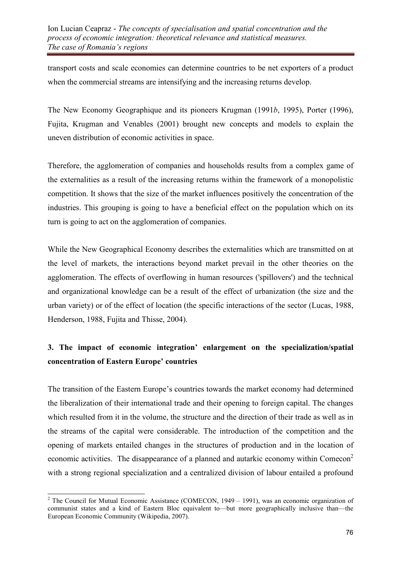transport costs and scale economies can determine countries to be net exporters of a product when the commercial streams are intensifying and the increasing returns develop.

The New Economy Geographique and its pioneers Krugman (1991*b*, 1995), Porter (1996), Fujita, Krugman and Venables (2001) brought new concepts and models to explain the uneven distribution of economic activities in space.

Therefore, the agglomeration of companies and households results from a complex game of the externalities as a result of the increasing returns within the framework of a monopolistic competition. It shows that the size of the market influences positively the concentration of the industries. This grouping is going to have a beneficial effect on the population which on its turn is going to act on the agglomeration of companies.

While the New Geographical Economy describes the externalities which are transmitted on at the level of markets, the interactions beyond market prevail in the other theories on the agglomeration. The effects of overflowing in human resources ('spillovers') and the technical and organizational knowledge can be a result of the effect of urbanization (the size and the urban variety) or of the effect of location (the specific interactions of the sector (Lucas, 1988, Henderson, 1988, Fujita and Thisse, 2004).

# 3. The impact of economic integration' enlargement on the specialization/spatial concentration of Eastern Europe' countries

The transition of the Eastern Europe's countries towards the market economy had determined the liberalization of their international trade and their opening to foreign capital. The changes which resulted from it in the volume, the structure and the direction of their trade as well as in the streams of the capital were considerable. The introduction of the competition and the opening of markets entailed changes in the structures of production and in the location of economic activities. The disappearance of a planned and autarkic economy within Comecon<sup>2</sup> with a strong regional specialization and a centralized division of labour entailed a profound

<sup>&</sup>lt;sup>2</sup> The Council for Mutual Economic Assistance (COMECON, 1949 – 1991), was an economic organization of communist states and a kind of Eastern Bloc equivalent to—but more geographically inclusive than—the European Economic Community (Wikipedia, 2007).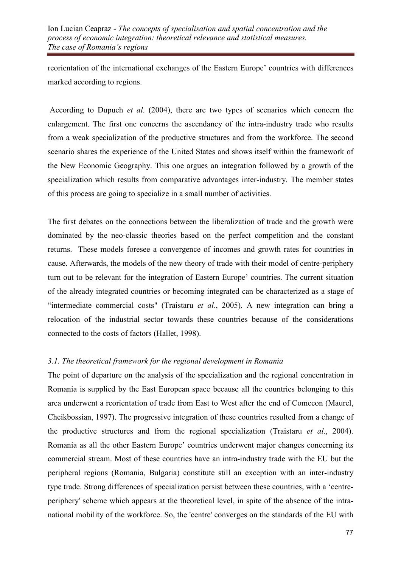reorientation of the international exchanges of the Eastern Europe' countries with differences marked according to regions.

 According to Dupuch *et al*. (2004), there are two types of scenarios which concern the enlargement. The first one concerns the ascendancy of the intra-industry trade who results from a weak specialization of the productive structures and from the workforce. The second scenario shares the experience of the United States and shows itself within the framework of the New Economic Geography. This one argues an integration followed by a growth of the specialization which results from comparative advantages inter-industry. The member states of this process are going to specialize in a small number of activities.

The first debates on the connections between the liberalization of trade and the growth were dominated by the neo-classic theories based on the perfect competition and the constant returns. These models foresee a convergence of incomes and growth rates for countries in cause. Afterwards, the models of the new theory of trade with their model of centre-periphery turn out to be relevant for the integration of Eastern Europe' countries. The current situation of the already integrated countries or becoming integrated can be characterized as a stage of "intermediate commercial costs" (Traistaru *et al*., 2005). A new integration can bring a relocation of the industrial sector towards these countries because of the considerations connected to the costs of factors (Hallet, 1998).

# *3.1. The theoretical framework for the regional development in Romania*

The point of departure on the analysis of the specialization and the regional concentration in Romania is supplied by the East European space because all the countries belonging to this area underwent a reorientation of trade from East to West after the end of Comecon (Maurel, Cheikbossian, 1997). The progressive integration of these countries resulted from a change of the productive structures and from the regional specialization (Traistaru *et al*., 2004). Romania as all the other Eastern Europe' countries underwent major changes concerning its commercial stream. Most of these countries have an intra-industry trade with the EU but the peripheral regions (Romania, Bulgaria) constitute still an exception with an inter-industry type trade. Strong differences of specialization persist between these countries, with a 'centreperiphery' scheme which appears at the theoretical level, in spite of the absence of the intranational mobility of the workforce. So, the 'centre' converges on the standards of the EU with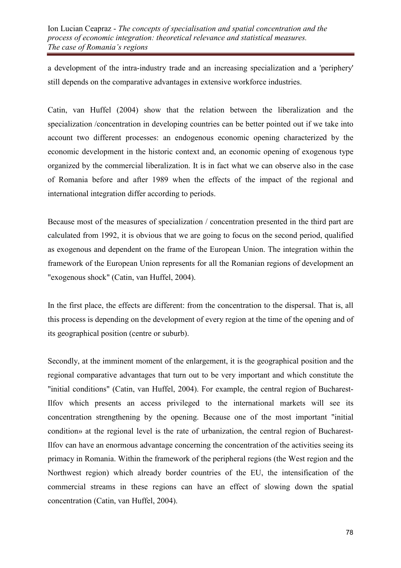a development of the intra-industry trade and an increasing specialization and a 'periphery' still depends on the comparative advantages in extensive workforce industries.

Catin, van Huffel (2004) show that the relation between the liberalization and the specialization /concentration in developing countries can be better pointed out if we take into account two different processes: an endogenous economic opening characterized by the economic development in the historic context and, an economic opening of exogenous type organized by the commercial liberalization. It is in fact what we can observe also in the case of Romania before and after 1989 when the effects of the impact of the regional and international integration differ according to periods.

Because most of the measures of specialization / concentration presented in the third part are calculated from 1992, it is obvious that we are going to focus on the second period, qualified as exogenous and dependent on the frame of the European Union. The integration within the framework of the European Union represents for all the Romanian regions of development an "exogenous shock" (Catin, van Huffel, 2004).

In the first place, the effects are different: from the concentration to the dispersal. That is, all this process is depending on the development of every region at the time of the opening and of its geographical position (centre or suburb).

Secondly, at the imminent moment of the enlargement, it is the geographical position and the regional comparative advantages that turn out to be very important and which constitute the "initial conditions" (Catin, van Huffel, 2004). For example, the central region of Bucharest-Ilfov which presents an access privileged to the international markets will see its concentration strengthening by the opening. Because one of the most important "initial condition» at the regional level is the rate of urbanization, the central region of Bucharest-Ilfov can have an enormous advantage concerning the concentration of the activities seeing its primacy in Romania. Within the framework of the peripheral regions (the West region and the Northwest region) which already border countries of the EU, the intensification of the commercial streams in these regions can have an effect of slowing down the spatial concentration (Catin, van Huffel, 2004).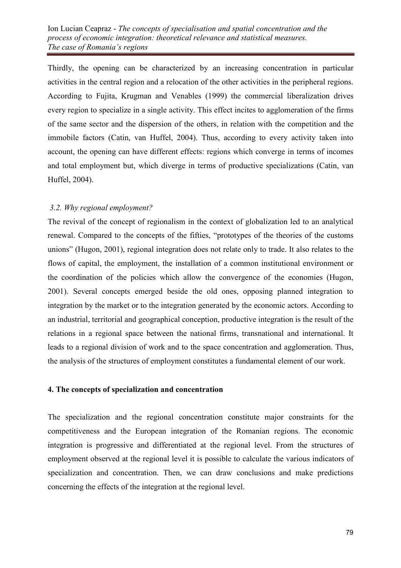Thirdly, the opening can be characterized by an increasing concentration in particular activities in the central region and a relocation of the other activities in the peripheral regions. According to Fujita, Krugman and Venables (1999) the commercial liberalization drives every region to specialize in a single activity. This effect incites to agglomeration of the firms of the same sector and the dispersion of the others, in relation with the competition and the immobile factors (Catin, van Huffel, 2004). Thus, according to every activity taken into account, the opening can have different effects: regions which converge in terms of incomes and total employment but, which diverge in terms of productive specializations (Catin, van Huffel, 2004).

# *3.2. Why regional employment?*

The revival of the concept of regionalism in the context of globalization led to an analytical renewal. Compared to the concepts of the fifties, "prototypes of the theories of the customs unions" (Hugon, 2001), regional integration does not relate only to trade. It also relates to the flows of capital, the employment, the installation of a common institutional environment or the coordination of the policies which allow the convergence of the economies (Hugon, 2001). Several concepts emerged beside the old ones, opposing planned integration to integration by the market or to the integration generated by the economic actors. According to an industrial, territorial and geographical conception, productive integration is the result of the relations in a regional space between the national firms, transnational and international. It leads to a regional division of work and to the space concentration and agglomeration. Thus, the analysis of the structures of employment constitutes a fundamental element of our work.

### 4. The concepts of specialization and concentration

The specialization and the regional concentration constitute major constraints for the competitiveness and the European integration of the Romanian regions. The economic integration is progressive and differentiated at the regional level. From the structures of employment observed at the regional level it is possible to calculate the various indicators of specialization and concentration. Then, we can draw conclusions and make predictions concerning the effects of the integration at the regional level.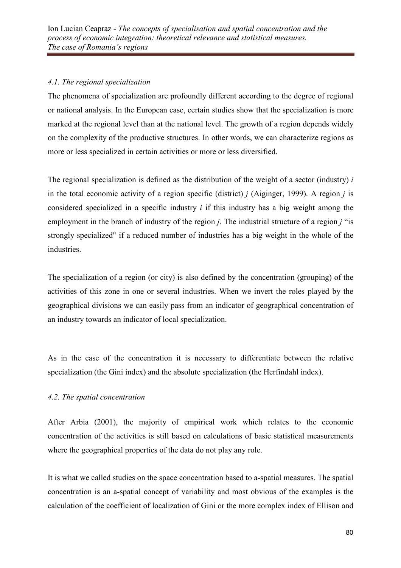# *4.1. The regional specialization*

The phenomena of specialization are profoundly different according to the degree of regional or national analysis. In the European case, certain studies show that the specialization is more marked at the regional level than at the national level. The growth of a region depends widely on the complexity of the productive structures. In other words, we can characterize regions as more or less specialized in certain activities or more or less diversified.

The regional specialization is defined as the distribution of the weight of a sector (industry) *i* in the total economic activity of a region specific (district) *j* (Aiginger, 1999). A region *j* is considered specialized in a specific industry *i* if this industry has a big weight among the employment in the branch of industry of the region *j*. The industrial structure of a region *j* "is strongly specialized" if a reduced number of industries has a big weight in the whole of the industries.

The specialization of a region (or city) is also defined by the concentration (grouping) of the activities of this zone in one or several industries. When we invert the roles played by the geographical divisions we can easily pass from an indicator of geographical concentration of an industry towards an indicator of local specialization.

As in the case of the concentration it is necessary to differentiate between the relative specialization (the Gini index) and the absolute specialization (the Herfindahl index).

# *4.2. The spatial concentration*

After Arbia (2001), the majority of empirical work which relates to the economic concentration of the activities is still based on calculations of basic statistical measurements where the geographical properties of the data do not play any role.

It is what we called studies on the space concentration based to a-spatial measures. The spatial concentration is an a-spatial concept of variability and most obvious of the examples is the calculation of the coefficient of localization of Gini or the more complex index of Ellison and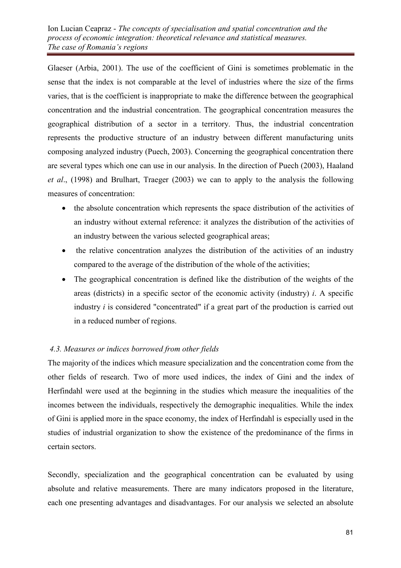Glaeser (Arbia, 2001). The use of the coefficient of Gini is sometimes problematic in the sense that the index is not comparable at the level of industries where the size of the firms varies, that is the coefficient is inappropriate to make the difference between the geographical concentration and the industrial concentration. The geographical concentration measures the geographical distribution of a sector in a territory. Thus, the industrial concentration represents the productive structure of an industry between different manufacturing units composing analyzed industry (Puech, 2003). Concerning the geographical concentration there are several types which one can use in our analysis. In the direction of Puech (2003), Haaland *et al*., (1998) and Brulhart, Traeger (2003) we can to apply to the analysis the following measures of concentration:

- the absolute concentration which represents the space distribution of the activities of an industry without external reference: it analyzes the distribution of the activities of an industry between the various selected geographical areas;
- the relative concentration analyzes the distribution of the activities of an industry compared to the average of the distribution of the whole of the activities;
- The geographical concentration is defined like the distribution of the weights of the areas (districts) in a specific sector of the economic activity (industry) *i*. A specific industry *i* is considered "concentrated" if a great part of the production is carried out in a reduced number of regions.

# *4.3. Measures or indices borrowed from other fields*

The majority of the indices which measure specialization and the concentration come from the other fields of research. Two of more used indices, the index of Gini and the index of Herfindahl were used at the beginning in the studies which measure the inequalities of the incomes between the individuals, respectively the demographic inequalities. While the index of Gini is applied more in the space economy, the index of Herfindahl is especially used in the studies of industrial organization to show the existence of the predominance of the firms in certain sectors.

Secondly, specialization and the geographical concentration can be evaluated by using absolute and relative measurements. There are many indicators proposed in the literature, each one presenting advantages and disadvantages. For our analysis we selected an absolute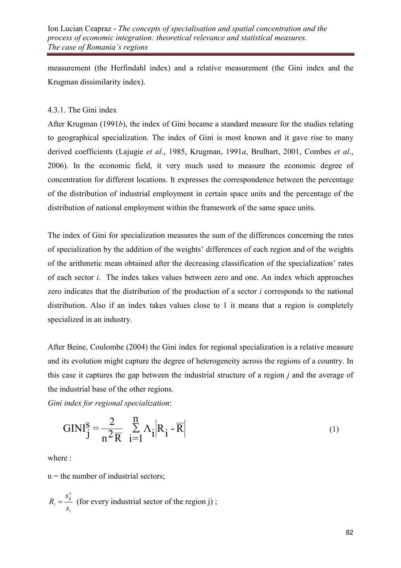Ion Lucian Ceapraz - *The concepts of specialisation and spatial concentration and the process of economic integration: theoretical relevance and statistical measures. The case of Romania's regions*

measurement (the Herfindahl index) and a relative measurement (the Gini index and the Krugman dissimilarity index).

### 4.3.1. The Gini index

After Krugman (1991*b*), the index of Gini became a standard measure for the studies relating to geographical specialization. The index of Gini is most known and it gave rise to many derived coefficients (Lajugie *et al*., 1985, Krugman, 1991*a*, Brulhart, 2001, Combes *et al*., 2006). In the economic field, it very much used to measure the economic degree of concentration for different locations. It expresses the correspondence between the percentage of the distribution of industrial employment in certain space units and the percentage of the distribution of national employment within the framework of the same space units.

The index of Gini for specialization measures the sum of the differences concerning the rates of specialization by the addition of the weights' differences of each region and of the weights of the arithmetic mean obtained after the decreasing classification of the specialization' rates of each sector *i*. The index takes values between zero and one. An index which approaches zero indicates that the distribution of the production of a sector *i* corresponds to the national distribution. Also if an index takes values close to 1 it means that a region is completely specialized in an industry.

After Beine, Coulombe (2004) the Gini index for regional specialization is a relative measure and its evolution might capture the degree of heterogeneity across the regions of a country. In this case it captures the gap between the industrial structure of a region *j* and the average of the industrial base of the other regions.

*Gini index for regional specialization*:

$$
GINI_j^S = \frac{2}{n^2 \overline{R}} \sum_{i=1}^n \Lambda_i |R_i - \overline{R}|
$$
 (1)

where :

 $n =$  the number of industrial sectors;

$$
R_i = \frac{s_{ij}^s}{s_i}
$$
 (for every industrial sector of the region j);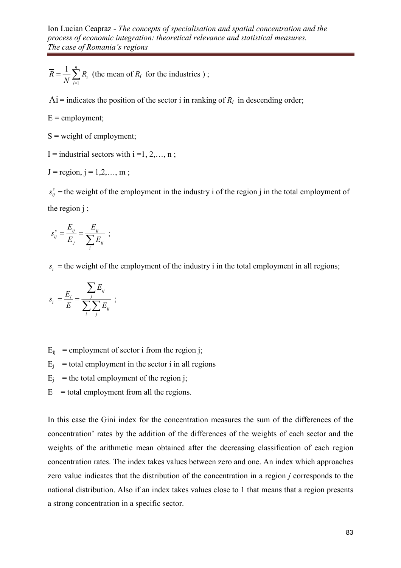$$
\overline{R} = \frac{1}{N} \sum_{i=1}^{n} R_i
$$
 (the mean of  $R_i$  for the industries) ;

 $\Lambda$ **i** = indicates the position of the sector i in ranking of  $R_i$  in descending order;

 $E =$  employment;

 $S$  = weight of employment;

I = industrial sectors with  $i = 1, 2, \dots, n$ ;

$$
J = region, j = 1, 2, ..., m;
$$

 $s_{ij}^s$  = the weight of the employment in the industry i of the region j in the total employment of the region j ;

$$
s_{ij}^s = \frac{E_{ij}}{E_j} = \frac{E_{ij}}{\sum_i E_{ij}} \ ;
$$

 $s_i$  = the weight of the employment of the industry i in the total employment in all regions;

$$
s_i = \frac{E_i}{E} = \frac{\sum_j E_{ij}}{\sum_i \sum_j E_{ij}} \ ;
$$

 $E_{ii}$  = employment of sector i from the region j;

 $E_j$  = total employment in the sector i in all regions

- $E_j$  = the total employment of the region j;
- $E$  = total employment from all the regions.

In this case the Gini index for the concentration measures the sum of the differences of the concentration' rates by the addition of the differences of the weights of each sector and the weights of the arithmetic mean obtained after the decreasing classification of each region concentration rates. The index takes values between zero and one. An index which approaches zero value indicates that the distribution of the concentration in a region *j* corresponds to the national distribution. Also if an index takes values close to 1 that means that a region presents a strong concentration in a specific sector.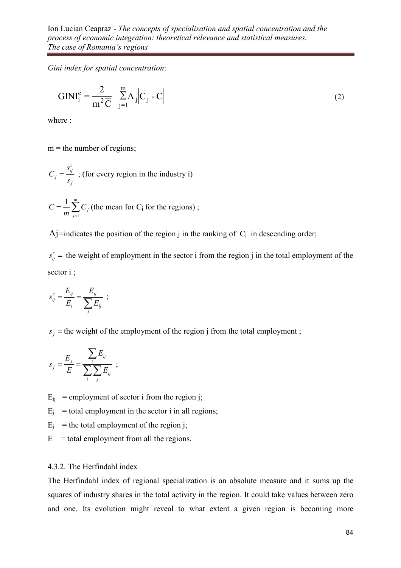*Gini index for spatial concentration*:

$$
GINI_i^c = \frac{2}{m^2 \overline{C}} \sum_{j=1}^m \Lambda_j \Big| C_j - \overline{C} \Big|
$$
 (2)

where :

 $m =$  the number of regions;

$$
C_j = \frac{s_{ij}^c}{s_j}
$$
; (for every region in the industry i)

$$
\overline{C} = \frac{1}{m} \sum_{j=1}^{m} C_j
$$
 (the mean for C<sub>j</sub> for the regions);

 $\Lambda$ j=indicates the position of the region j in the ranking of  $C_j$  in descending order;

 $s_{ij}^c$  = the weight of employment in the sector i from the region j in the total employment of the sector i ;

$$
s_{ij}^c = \frac{E_{ij}}{E_i} = \frac{E_{ij}}{\sum_j E_{ij}} \ ;
$$

 $s_j$  = the weight of the employment of the region j from the total employment ;

$$
s_j = \frac{E_j}{E} = \frac{\sum_i E_{ij}}{\sum_i \sum_j E_{ij}} \ ;
$$

 $E_{ii}$  = employment of sector i from the region j;

 $E_j$  = total employment in the sector i in all regions;

 $E_j$  = the total employment of the region j;

 $E$  = total employment from all the regions.

#### 4.3.2. The Herfindahl index

The Herfindahl index of regional specialization is an absolute measure and it sums up the squares of industry shares in the total activity in the region. It could take values between zero and one. Its evolution might reveal to what extent a given region is becoming more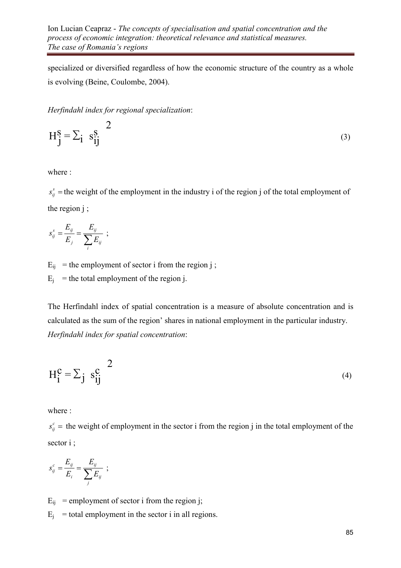specialized or diversified regardless of how the economic structure of the country as a whole is evolving (Beine, Coulombe, 2004).

*Herfindahl index for regional specialization*:

$$
H_j^S = \sum_i s_{ij}^S
$$
 (3)

where :

 $s_{ij}^s$  = the weight of the employment in the industry i of the region j of the total employment of the region j ;

$$
s_{ij}^s = \frac{E_{ij}}{E_j} = \frac{E_{ij}}{\sum_i E_{ij}} \ ;
$$

 $E_{ij}$  = the employment of sector i from the region j;

 $E_j$  = the total employment of the region j.

The Herfindahl index of spatial concentration is a measure of absolute concentration and is calculated as the sum of the region' shares in national employment in the particular industry. *Herfindahl index for spatial concentration*:

$$
H_i^c = \sum_j s_{ij}^c
$$
 (4)

where :

 $s_{ij}^c$  = the weight of employment in the sector i from the region j in the total employment of the sector i ;

$$
s_{ij}^c = \frac{E_{ij}}{E_i} = \frac{E_{ij}}{\sum_j E_{ij}} \ ;
$$

 $E_{ii}$  = employment of sector i from the region j;

 $E_j$  = total employment in the sector i in all regions.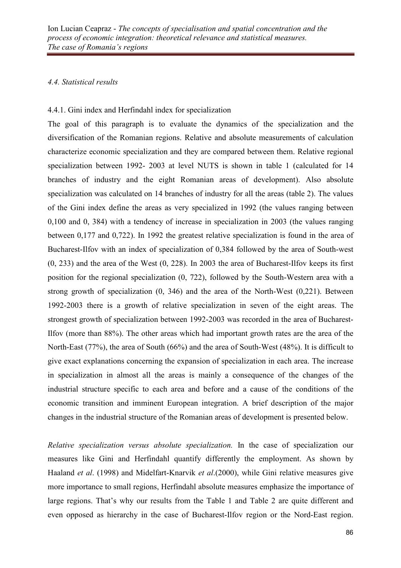### *4.4. Statistical results*

### 4.4.1. Gini index and Herfindahl index for specialization

The goal of this paragraph is to evaluate the dynamics of the specialization and the diversification of the Romanian regions. Relative and absolute measurements of calculation characterize economic specialization and they are compared between them. Relative regional specialization between 1992- 2003 at level NUTS is shown in table 1 (calculated for 14 branches of industry and the eight Romanian areas of development). Also absolute specialization was calculated on 14 branches of industry for all the areas (table 2). The values of the Gini index define the areas as very specialized in 1992 (the values ranging between 0,100 and 0, 384) with a tendency of increase in specialization in 2003 (the values ranging between 0,177 and 0,722). In 1992 the greatest relative specialization is found in the area of Bucharest-Ilfov with an index of specialization of 0,384 followed by the area of South-west (0, 233) and the area of the West (0, 228). In 2003 the area of Bucharest-Ilfov keeps its first position for the regional specialization (0, 722), followed by the South-Western area with a strong growth of specialization (0, 346) and the area of the North-West (0,221). Between 1992-2003 there is a growth of relative specialization in seven of the eight areas. The strongest growth of specialization between 1992-2003 was recorded in the area of Bucharest-Ilfov (more than 88%). The other areas which had important growth rates are the area of the North-East (77%), the area of South (66%) and the area of South-West (48%). It is difficult to give exact explanations concerning the expansion of specialization in each area. The increase in specialization in almost all the areas is mainly a consequence of the changes of the industrial structure specific to each area and before and a cause of the conditions of the economic transition and imminent European integration. A brief description of the major changes in the industrial structure of the Romanian areas of development is presented below.

*Relative specialization versus absolute specialization.* In the case of specialization our measures like Gini and Herfindahl quantify differently the employment. As shown by Haaland *et al*. (1998) and Midelfart-Knarvik *et al*.(2000), while Gini relative measures give more importance to small regions, Herfindahl absolute measures emphasize the importance of large regions. That's why our results from the Table 1 and Table 2 are quite different and even opposed as hierarchy in the case of Bucharest-Ilfov region or the Nord-East region.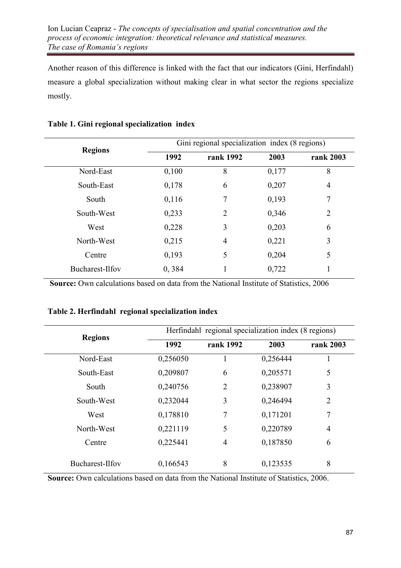Another reason of this difference is linked with the fact that our indicators (Gini, Herfindahl) measure a global specialization without making clear in what sector the regions specialize mostly.

| <b>Regions</b>  | Gini regional specialization index (8 regions) |                |       |                |  |
|-----------------|------------------------------------------------|----------------|-------|----------------|--|
|                 | 1992                                           | rank 1992      | 2003  | rank 2003      |  |
| Nord-East       | 0,100                                          | 8              | 0,177 | 8              |  |
| South-East      | 0,178                                          | 6              | 0,207 | $\overline{4}$ |  |
| South           | 0,116                                          | 7              | 0,193 | 7              |  |
| South-West      | 0,233                                          | 2              | 0,346 | $\overline{2}$ |  |
| West            | 0,228                                          | 3              | 0,203 | 6              |  |
| North-West      | 0,215                                          | $\overline{4}$ | 0,221 | 3              |  |
| Centre          | 0,193                                          | 5              | 0,204 | 5              |  |
| Bucharest-Ilfov | 0,384                                          |                | 0,722 |                |  |

### Table 1. Gini regional specialization index

Source: Own calculations based on data from the National Institute of Statistics, 2006

### Table 2. Herfindahl regional specialization index

| <b>Regions</b>  | Herfindahl regional specialization index (8 regions) |                |          |                |  |
|-----------------|------------------------------------------------------|----------------|----------|----------------|--|
|                 | 1992                                                 | rank 1992      | 2003     | rank 2003      |  |
| Nord-East       | 0,256050                                             |                | 0,256444 | 1              |  |
| South-East      | 0,209807                                             | 6              | 0,205571 | 5              |  |
| South           | 0,240756                                             | $\overline{2}$ | 0,238907 | 3              |  |
| South-West      | 0,232044                                             | 3              | 0,246494 | $\overline{2}$ |  |
| West            | 0,178810                                             | 7              | 0,171201 | 7              |  |
| North-West      | 0,221119                                             | 5              | 0,220789 | $\overline{4}$ |  |
| Centre          | 0,225441                                             | 4              | 0,187850 | 6              |  |
| Bucharest-Ilfov | 0,166543                                             | 8              | 0,123535 | 8              |  |

Source: Own calculations based on data from the National Institute of Statistics, 2006.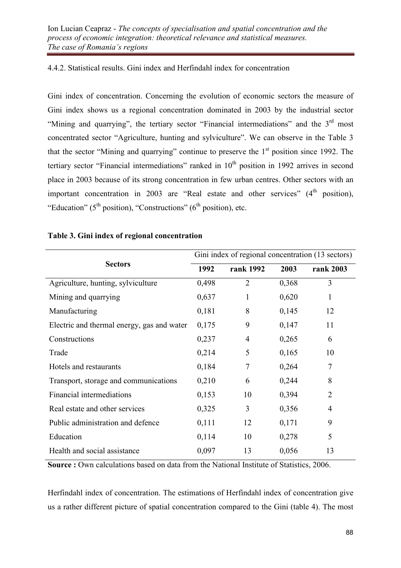# 4.4.2. Statistical results. Gini index and Herfindahl index for concentration

Gini index of concentration. Concerning the evolution of economic sectors the measure of Gini index shows us a regional concentration dominated in 2003 by the industrial sector "Mining and quarrying", the tertiary sector "Financial intermediations" and the 3<sup>rd</sup> most concentrated sector "Agriculture, hunting and sylviculture". We can observe in the Table 3 that the sector "Mining and quarrying" continue to preserve the  $1<sup>st</sup>$  position since 1992. The tertiary sector "Financial intermediations" ranked in 10<sup>th</sup> position in 1992 arrives in second place in 2003 because of its strong concentration in few urban centres. Other sectors with an important concentration in 2003 are "Real estate and other services"  $(4<sup>th</sup>$  position), "Education" ( $5<sup>th</sup>$  position), "Constructions" ( $6<sup>th</sup>$  position), etc.

|                                            | Gini index of regional concentration (13 sectors) |                |       |                |
|--------------------------------------------|---------------------------------------------------|----------------|-------|----------------|
| <b>Sectors</b>                             | 1992                                              | rank 1992      | 2003  | rank 2003      |
| Agriculture, hunting, sylviculture         | 0,498                                             | $\overline{2}$ | 0,368 | 3              |
| Mining and quarrying                       | 0,637                                             | 1              | 0,620 | 1              |
| Manufacturing                              | 0,181                                             | 8              | 0,145 | 12             |
| Electric and thermal energy, gas and water | 0,175                                             | 9              | 0,147 | 11             |
| Constructions                              | 0,237                                             | $\overline{4}$ | 0,265 | 6              |
| Trade                                      | 0,214                                             | 5              | 0,165 | 10             |
| Hotels and restaurants                     | 0,184                                             | 7              | 0,264 | 7              |
| Transport, storage and communications      | 0,210                                             | 6              | 0,244 | 8              |
| Financial intermediations                  | 0,153                                             | 10             | 0,394 | $\overline{2}$ |
| Real estate and other services             | 0,325                                             | 3              | 0,356 | $\overline{4}$ |
| Public administration and defence          | 0,111                                             | 12             | 0,171 | 9              |
| Education                                  | 0,114                                             | 10             | 0,278 | 5              |
| Health and social assistance               | 0,097                                             | 13             | 0,056 | 13             |

# Table 3. Gini index of regional concentration

Source : Own calculations based on data from the National Institute of Statistics, 2006.

Herfindahl index of concentration. The estimations of Herfindahl index of concentration give us a rather different picture of spatial concentration compared to the Gini (table 4). The most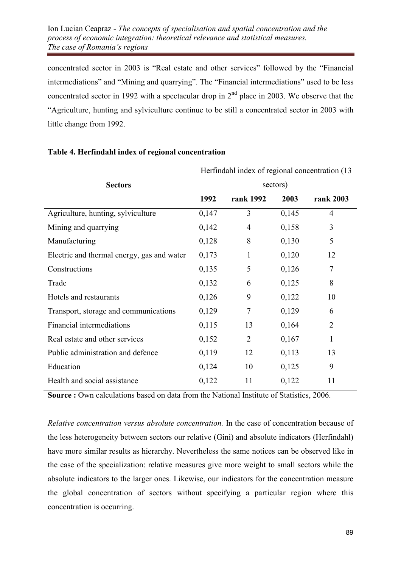concentrated sector in 2003 is "Real estate and other services" followed by the "Financial intermediations" and "Mining and quarrying". The "Financial intermediations" used to be less concentrated sector in 1992 with a spectacular drop in  $2<sup>nd</sup>$  place in 2003. We observe that the "Agriculture, hunting and sylviculture continue to be still a concentrated sector in 2003 with little change from 1992.

|                                            | Herfindahl index of regional concentration (13) |                |       |                |
|--------------------------------------------|-------------------------------------------------|----------------|-------|----------------|
| <b>Sectors</b>                             | sectors)                                        |                |       |                |
|                                            | 1992                                            | rank 1992      | 2003  | rank 2003      |
| Agriculture, hunting, sylviculture         | 0,147                                           | 3              | 0,145 | $\overline{4}$ |
| Mining and quarrying                       | 0,142                                           | $\overline{4}$ | 0,158 | 3              |
| Manufacturing                              | 0,128                                           | 8              | 0,130 | 5              |
| Electric and thermal energy, gas and water | 0,173                                           | $\mathbf{1}$   | 0,120 | 12             |
| Constructions                              | 0,135                                           | 5              | 0,126 | $\overline{7}$ |
| Trade                                      | 0,132                                           | 6              | 0,125 | 8              |
| Hotels and restaurants                     | 0,126                                           | 9              | 0,122 | 10             |
| Transport, storage and communications      | 0,129                                           | $\tau$         | 0,129 | 6              |
| Financial intermediations                  | 0,115                                           | 13             | 0,164 | $\overline{2}$ |
| Real estate and other services             | 0,152                                           | $\overline{2}$ | 0,167 | 1              |
| Public administration and defence          | 0,119                                           | 12             | 0,113 | 13             |
| Education                                  | 0,124                                           | 10             | 0,125 | 9              |
| Health and social assistance               | 0,122                                           | 11             | 0,122 | 11             |

#### Table 4. Herfindahl index of regional concentration

Source : Own calculations based on data from the National Institute of Statistics, 2006.

*Relative concentration versus absolute concentration.* In the case of concentration because of the less heterogeneity between sectors our relative (Gini) and absolute indicators (Herfindahl) have more similar results as hierarchy. Nevertheless the same notices can be observed like in the case of the specialization: relative measures give more weight to small sectors while the absolute indicators to the larger ones. Likewise, our indicators for the concentration measure the global concentration of sectors without specifying a particular region where this concentration is occurring.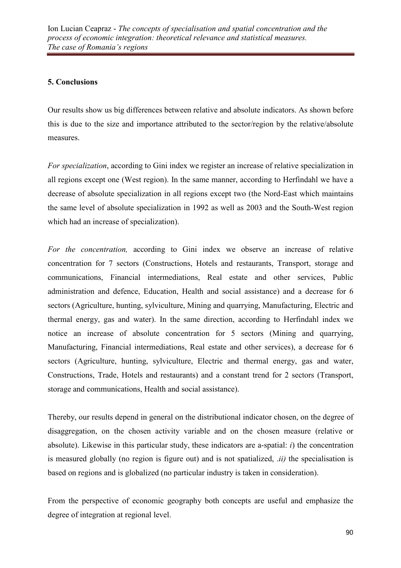## 5. Conclusions

Our results show us big differences between relative and absolute indicators. As shown before this is due to the size and importance attributed to the sector/region by the relative/absolute measures.

*For specialization*, according to Gini index we register an increase of relative specialization in all regions except one (West region). In the same manner, according to Herfindahl we have a decrease of absolute specialization in all regions except two (the Nord-East which maintains the same level of absolute specialization in 1992 as well as 2003 and the South-West region which had an increase of specialization).

*For the concentration,* according to Gini index we observe an increase of relative concentration for 7 sectors (Constructions, Hotels and restaurants, Transport, storage and communications, Financial intermediations, Real estate and other services, Public administration and defence, Education, Health and social assistance) and a decrease for 6 sectors (Agriculture, hunting, sylviculture, Mining and quarrying, Manufacturing, Electric and thermal energy, gas and water). In the same direction, according to Herfindahl index we notice an increase of absolute concentration for 5 sectors (Mining and quarrying, Manufacturing, Financial intermediations, Real estate and other services), a decrease for 6 sectors (Agriculture, hunting, sylviculture, Electric and thermal energy, gas and water, Constructions, Trade, Hotels and restaurants) and a constant trend for 2 sectors (Transport, storage and communications, Health and social assistance).

Thereby, our results depend in general on the distributional indicator chosen, on the degree of disaggregation, on the chosen activity variable and on the chosen measure (relative or absolute). Likewise in this particular study, these indicators are a-spatial: *i*) the concentration is measured globally (no region is figure out) and is not spatialized, .*ii)* the specialisation is based on regions and is globalized (no particular industry is taken in consideration).

From the perspective of economic geography both concepts are useful and emphasize the degree of integration at regional level.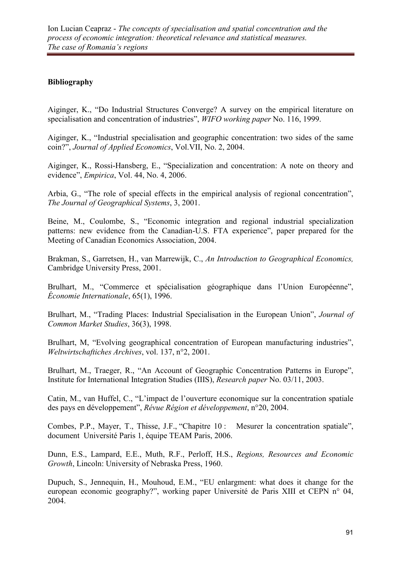# Bibliography

Aiginger, K., "Do Industrial Structures Converge? A survey on the empirical literature on specialisation and concentration of industries", *WIFO working paper* No. 116, 1999.

Aiginger, K., "Industrial specialisation and geographic concentration: two sides of the same coin?", *Journal of Applied Economics*, Vol.VII, No. 2, 2004.

Aiginger, K., Rossi-Hansberg, E., "Specialization and concentration: A note on theory and evidence", *Empirica*, Vol. 44, No. 4, 2006.

Arbia, G., "The role of special effects in the empirical analysis of regional concentration", *The Journal of Geographical Systems*, 3, 2001.

Beine, M., Coulombe, S., "Economic integration and regional industrial specialization patterns: new evidence from the Canadian-U.S. FTA experience", paper prepared for the Meeting of Canadian Economics Association, 2004.

Brakman, S., Garretsen, H., van Marrewijk, C., *An Introduction to Geographical Economics,* Cambridge University Press, 2001.

Brulhart, M., "Commerce et spécialisation géographique dans l'Union Européenne", *Économie Internationale*, 65(1), 1996.

Brulhart, M., "Trading Places: Industrial Specialisation in the European Union", *Journal of Common Market Studies*, 36(3), 1998.

Brulhart, M, "Evolving geographical concentration of European manufacturing industries", *Weltwirtschaftiches Archives*, vol. 137, n°2, 2001.

Brulhart, M., Traeger, R., "An Account of Geographic Concentration Patterns in Europe", Institute for International Integration Studies (IIIS), *Research paper* No. 03/11, 2003.

Catin, M., van Huffel, C., "L'impact de l'ouverture economique sur la concentration spatiale des pays en développement", *Révue Région et développement*, n°20, 2004.

Combes, P.P., Mayer, T., Thisse, J.F., "Chapitre 10 : Mesurer la concentration spatiale", document Université Paris 1, équipe TEAM Paris, 2006.

Dunn, E.S., Lampard, E.E., Muth, R.F., Perloff, H.S., *Regions, Resources and Economic Growth*, Lincoln: University of Nebraska Press, 1960.

Dupuch, S., Jennequin, H., Mouhoud, E.M., "EU enlargment: what does it change for the european economic geography?", working paper Université de Paris XIII et CEPN n° 04, 2004.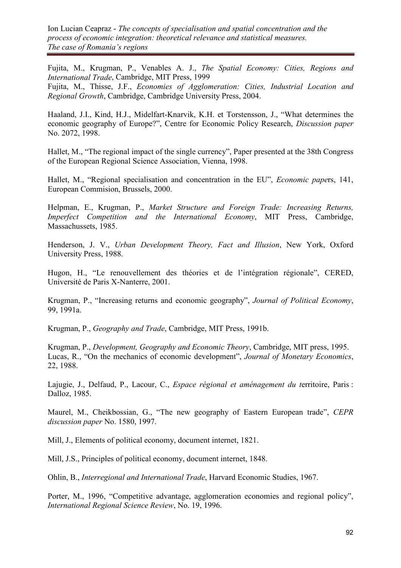Ion Lucian Ceapraz - *The concepts of specialisation and spatial concentration and the process of economic integration: theoretical relevance and statistical measures. The case of Romania's regions*

Fujita, M., Krugman, P., Venables A. J., *The Spatial Economy: Cities, Regions and International Trade*, Cambridge, MIT Press, 1999 Fujita, M., Thisse, J.F., *Economies of Agglomeration: Cities, Industrial Location and* 

*Regional Growth*, Cambridge, Cambridge University Press, 2004.

Haaland, J.I., Kind, H.J., Midelfart-Knarvik, K.H. et Torstensson, J., "What determines the economic geography of Europe?", Centre for Economic Policy Research, *Discussion paper* No. 2072, 1998.

Hallet, M., "The regional impact of the single currency", Paper presented at the 38th Congress of the European Regional Science Association, Vienna, 1998.

Hallet, M., "Regional specialisation and concentration in the EU", *Economic pape*rs, 141, European Commision, Brussels, 2000.

Helpman, E., Krugman, P., *Market Structure and Foreign Trade: Increasing Returns, Imperfect Competition and the International Economy*, MIT Press, Cambridge, Massachussets, 1985.

Henderson, J. V., *Urban Development Theory, Fact and Illusion*, New York, Oxford University Press, 1988.

Hugon, H., "Le renouvellement des théories et de l'intégration régionale", CERED, Université de Paris X-Nanterre, 2001.

Krugman, P., "Increasing returns and economic geography", *Journal of Political Economy*, 99, 1991a.

Krugman, P., *Geography and Trade*, Cambridge, MIT Press, 1991b.

Krugman, P., *Development, Geography and Economic Theory*, Cambridge, MIT press, 1995. Lucas, R., "On the mechanics of economic development", *Journal of Monetary Economics*, 22, 1988.

Lajugie, J., Delfaud, P., Lacour, C., *Espace régional et aménagement du t*erritoire, Paris : Dalloz, 1985.

Maurel, M., Cheikbossian, G., "The new geography of Eastern European trade", *CEPR discussion paper* No. 1580, 1997.

Mill, J., Elements of political economy, document internet, 1821.

Mill, J.S., Principles of political economy, document internet, 1848.

Ohlin, B., *Interregional and International Trade*, Harvard Economic Studies, 1967.

Porter, M., 1996, "Competitive advantage, agglomeration economies and regional policy", *International Regional Science Review*, No. 19, 1996.